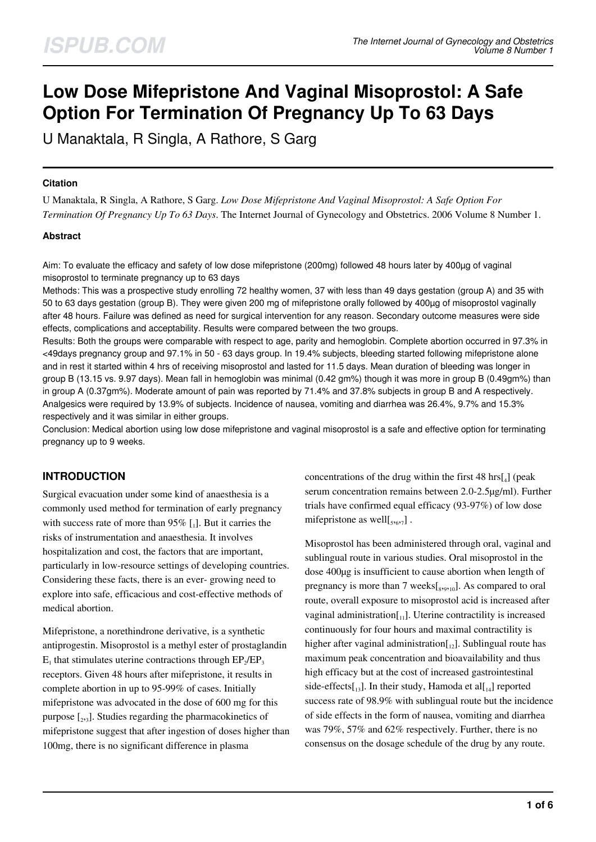# **Low Dose Mifepristone And Vaginal Misoprostol: A Safe Option For Termination Of Pregnancy Up To 63 Days**

U Manaktala, R Singla, A Rathore, S Garg

#### **Citation**

U Manaktala, R Singla, A Rathore, S Garg. *Low Dose Mifepristone And Vaginal Misoprostol: A Safe Option For Termination Of Pregnancy Up To 63 Days*. The Internet Journal of Gynecology and Obstetrics. 2006 Volume 8 Number 1.

#### **Abstract**

Aim: To evaluate the efficacy and safety of low dose mifepristone (200mg) followed 48 hours later by 400µg of vaginal misoprostol to terminate pregnancy up to 63 days

Methods: This was a prospective study enrolling 72 healthy women, 37 with less than 49 days gestation (group A) and 35 with 50 to 63 days gestation (group B). They were given 200 mg of mifepristone orally followed by 400µg of misoprostol vaginally after 48 hours. Failure was defined as need for surgical intervention for any reason. Secondary outcome measures were side effects, complications and acceptability. Results were compared between the two groups.

Results: Both the groups were comparable with respect to age, parity and hemoglobin. Complete abortion occurred in 97.3% in <49days pregnancy group and 97.1% in 50 - 63 days group. In 19.4% subjects, bleeding started following mifepristone alone and in rest it started within 4 hrs of receiving misoprostol and lasted for 11.5 days. Mean duration of bleeding was longer in group B (13.15 vs. 9.97 days). Mean fall in hemoglobin was minimal (0.42 gm%) though it was more in group B (0.49gm%) than in group A (0.37gm%). Moderate amount of pain was reported by 71.4% and 37.8% subjects in group B and A respectively. Analgesics were required by 13.9% of subjects. Incidence of nausea, vomiting and diarrhea was 26.4%, 9.7% and 15.3% respectively and it was similar in either groups.

Conclusion: Medical abortion using low dose mifepristone and vaginal misoprostol is a safe and effective option for terminating pregnancy up to 9 weeks.

# **INTRODUCTION**

Surgical evacuation under some kind of anaesthesia is a commonly used method for termination of early pregnancy with success rate of more than  $95\%$  [.]. But it carries the risks of instrumentation and anaesthesia. It involves hospitalization and cost, the factors that are important, particularly in low-resource settings of developing countries. Considering these facts, there is an ever- growing need to explore into safe, efficacious and cost-effective methods of medical abortion.

Mifepristone, a norethindrone derivative, is a synthetic antiprogestin. Misoprostol is a methyl ester of prostaglandin  $E_1$  that stimulates uterine contractions through  $EP_2/EP_3$ receptors. Given 48 hours after mifepristone, it results in complete abortion in up to 95-99% of cases. Initially mifepristone was advocated in the dose of 600 mg for this purpose [2,3]. Studies regarding the pharmacokinetics of mifepristone suggest that after ingestion of doses higher than 100mg, there is no significant difference in plasma

concentrations of the drug within the first  $48 \text{ hrs}[_4]$  (peak serum concentration remains between 2.0-2.5µg/ml). Further trials have confirmed equal efficacy (93-97%) of low dose mifepristone as well $[s, 6, 7]$ .

Misoprostol has been administered through oral, vaginal and sublingual route in various studies. Oral misoprostol in the dose 400µg is insufficient to cause abortion when length of pregnancy is more than 7 weeks $[s_{,9,10}]$ . As compared to oral route, overall exposure to misoprostol acid is increased after vaginal administration $\begin{bmatrix} 1 \\ 1 \end{bmatrix}$ . Uterine contractility is increased continuously for four hours and maximal contractility is higher after vaginal administration $\left[\cdot_{12}\right]$ . Sublingual route has maximum peak concentration and bioavailability and thus high efficacy but at the cost of increased gastrointestinal side-effects $\begin{bmatrix} 1 & 1 \end{bmatrix}$ . In their study, Hamoda et al $\begin{bmatrix} 1 & 1 \end{bmatrix}$  reported success rate of 98.9% with sublingual route but the incidence of side effects in the form of nausea, vomiting and diarrhea was 79%, 57% and 62% respectively. Further, there is no consensus on the dosage schedule of the drug by any route.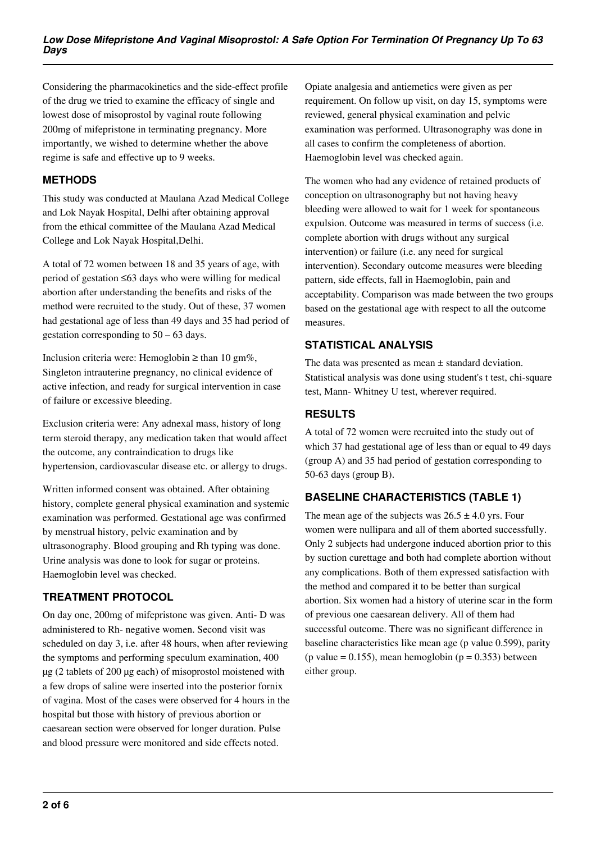Considering the pharmacokinetics and the side-effect profile of the drug we tried to examine the efficacy of single and lowest dose of misoprostol by vaginal route following 200mg of mifepristone in terminating pregnancy. More importantly, we wished to determine whether the above regime is safe and effective up to 9 weeks.

## **METHODS**

This study was conducted at Maulana Azad Medical College and Lok Nayak Hospital, Delhi after obtaining approval from the ethical committee of the Maulana Azad Medical College and Lok Nayak Hospital,Delhi.

A total of 72 women between 18 and 35 years of age, with period of gestation ≤63 days who were willing for medical abortion after understanding the benefits and risks of the method were recruited to the study. Out of these, 37 women had gestational age of less than 49 days and 35 had period of gestation corresponding to  $50 - 63$  days.

Inclusion criteria were: Hemoglobin ≥ than 10 gm%, Singleton intrauterine pregnancy, no clinical evidence of active infection, and ready for surgical intervention in case of failure or excessive bleeding.

Exclusion criteria were: Any adnexal mass, history of long term steroid therapy, any medication taken that would affect the outcome, any contraindication to drugs like hypertension, cardiovascular disease etc. or allergy to drugs.

Written informed consent was obtained. After obtaining history, complete general physical examination and systemic examination was performed. Gestational age was confirmed by menstrual history, pelvic examination and by ultrasonography. Blood grouping and Rh typing was done. Urine analysis was done to look for sugar or proteins. Haemoglobin level was checked.

# **TREATMENT PROTOCOL**

On day one, 200mg of mifepristone was given. Anti- D was administered to Rh- negative women. Second visit was scheduled on day 3, i.e. after 48 hours, when after reviewing the symptoms and performing speculum examination, 400 µg (2 tablets of 200 µg each) of misoprostol moistened with a few drops of saline were inserted into the posterior fornix of vagina. Most of the cases were observed for 4 hours in the hospital but those with history of previous abortion or caesarean section were observed for longer duration. Pulse and blood pressure were monitored and side effects noted.

Opiate analgesia and antiemetics were given as per requirement. On follow up visit, on day 15, symptoms were reviewed, general physical examination and pelvic examination was performed. Ultrasonography was done in all cases to confirm the completeness of abortion. Haemoglobin level was checked again.

The women who had any evidence of retained products of conception on ultrasonography but not having heavy bleeding were allowed to wait for 1 week for spontaneous expulsion. Outcome was measured in terms of success (i.e. complete abortion with drugs without any surgical intervention) or failure (i.e. any need for surgical intervention). Secondary outcome measures were bleeding pattern, side effects, fall in Haemoglobin, pain and acceptability. Comparison was made between the two groups based on the gestational age with respect to all the outcome measures.

# **STATISTICAL ANALYSIS**

The data was presented as mean ± standard deviation. Statistical analysis was done using student's t test, chi-square test, Mann- Whitney U test, wherever required.

# **RESULTS**

A total of 72 women were recruited into the study out of which 37 had gestational age of less than or equal to 49 days (group A) and 35 had period of gestation corresponding to 50-63 days (group B).

# **BASELINE CHARACTERISTICS (TABLE 1)**

The mean age of the subjects was  $26.5 \pm 4.0$  yrs. Four women were nullipara and all of them aborted successfully. Only 2 subjects had undergone induced abortion prior to this by suction curettage and both had complete abortion without any complications. Both of them expressed satisfaction with the method and compared it to be better than surgical abortion. Six women had a history of uterine scar in the form of previous one caesarean delivery. All of them had successful outcome. There was no significant difference in baseline characteristics like mean age (p value 0.599), parity (p value =  $0.155$ ), mean hemoglobin (p =  $0.353$ ) between either group.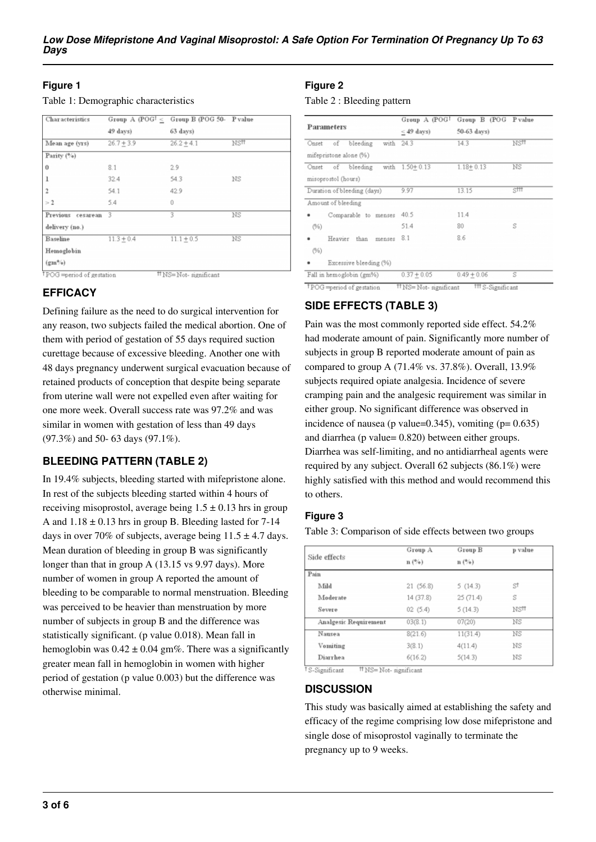## **Figure 1**

| Table 1: Demographic characteristics |  |
|--------------------------------------|--|
|--------------------------------------|--|

| Characteristics   |              | Group A (POG <sup>†</sup> $\leq$ Group B (POG <sup>50</sup> - P value |                  |  |
|-------------------|--------------|-----------------------------------------------------------------------|------------------|--|
|                   | 49 days)     | $63$ days)                                                            |                  |  |
| Mean age (yrs)    | $26.7 + 3.9$ | $26.2 + 4.1$                                                          | NS <sup>11</sup> |  |
| Parity $(%)$      |              |                                                                       |                  |  |
| $\bf{0}$          | 8.1          | 2.9                                                                   |                  |  |
| ı                 | 32.4         | 54.3                                                                  | ΝS               |  |
| $\mathfrak{p}$    | 54.1         | 42.9                                                                  |                  |  |
| >2                | 5.4          | 0                                                                     |                  |  |
| Previous cesarean | -3           | 3                                                                     | NS               |  |
| delivery (no.)    |              |                                                                       |                  |  |
| Baseline          | $11.3 + 0.4$ | $11.1 + 0.5$                                                          | NS               |  |
| Hemoglobin        |              |                                                                       |                  |  |
| $(gm\%)$          |              |                                                                       |                  |  |

<sup>†</sup>POG =period of gestation #NS=Not-significant

# **EFFICACY**

Defining failure as the need to do surgical intervention for any reason, two subjects failed the medical abortion. One of them with period of gestation of 55 days required suction curettage because of excessive bleeding. Another one with 48 days pregnancy underwent surgical evacuation because of retained products of conception that despite being separate from uterine wall were not expelled even after waiting for one more week. Overall success rate was 97.2% and was similar in women with gestation of less than 49 days (97.3%) and 50- 63 days (97.1%).

# **BLEEDING PATTERN (TABLE 2)**

In 19.4% subjects, bleeding started with mifepristone alone. In rest of the subjects bleeding started within 4 hours of receiving misoprostol, average being  $1.5 \pm 0.13$  hrs in group A and  $1.18 \pm 0.13$  hrs in group B. Bleeding lasted for 7-14 days in over 70% of subjects, average being  $11.5 \pm 4.7$  days. Mean duration of bleeding in group B was significantly longer than that in group A (13.15 vs 9.97 days). More number of women in group A reported the amount of bleeding to be comparable to normal menstruation. Bleeding was perceived to be heavier than menstruation by more number of subjects in group B and the difference was statistically significant. (p value 0.018). Mean fall in hemoglobin was  $0.42 \pm 0.04$  gm%. There was a significantly greater mean fall in hemoglobin in women with higher period of gestation (p value 0.003) but the difference was otherwise minimal.

## **Figure 2**

Table 2 : Bleeding pattern

|                                                         | Group A (POG <sup>†</sup> | Group B (POG Pvalue |      |
|---------------------------------------------------------|---------------------------|---------------------|------|
| Parameters                                              | $\leq$ 49 days)           | 50-63 days)         |      |
| Onset of bleeding<br>with<br>mifepristone alone (%)     | 24.3                      | 14.3                | NSĦ  |
| Onset of bleeding with 1.50+0.13<br>misoprostol (hours) |                           | $1.18 + 0.13$       | ΝS   |
| Duration of bleeding (days)                             | 9.97                      | 13.15               | SIII |
| Amount of bleeding                                      |                           |                     |      |
| Comparable to menses                                    | 40.5                      | 11.4                |      |
| (%)                                                     | 51.4                      | 80                  | S    |
| Heavier than<br>menses<br>(%)                           | 8.1                       | 8.6                 |      |
| Excessive bleeding (%)                                  |                           |                     |      |
| Fall in hemoglobin (gm%)                                | $0.37 + 0.05$             | $0.49 + 0.06$       | s    |

# **SIDE EFFECTS (TABLE 3)**

Pain was the most commonly reported side effect. 54.2% had moderate amount of pain. Significantly more number of subjects in group B reported moderate amount of pain as compared to group A (71.4% vs. 37.8%). Overall, 13.9% subjects required opiate analgesia. Incidence of severe cramping pain and the analgesic requirement was similar in either group. No significant difference was observed in incidence of nausea (p value= $0.345$ ), vomiting (p=  $0.635$ ) and diarrhea (p value= 0.820) between either groups. Diarrhea was self-limiting, and no antidiarrheal agents were required by any subject. Overall 62 subjects (86.1%) were highly satisfied with this method and would recommend this to others.

## **Figure 3**

Table 3: Comparison of side effects between two groups

| Side effects          | Group A    | Group B        | p value |
|-----------------------|------------|----------------|---------|
|                       | $n(^{9}/)$ | $n(^{9}/_{0})$ |         |
| Pain                  |            |                |         |
| Mild                  | 21(56.8)   | 5(14.3)        | st      |
| Moderate              | 14 (37.8)  | 25(71.4)       | S       |
| Severe                | 02(5.4)    | 5(14.3)        | NSH     |
| Analgesic Requirement | 03(8.1)    | 07(20)         | NS      |
| Nausea                | 8(21.6)    | 11(31.4)       | ΝS      |
| Vomiting              | 3(8.1)     | 4(11.4)        | ΝS      |
| Diarrhea              | 6(16.2)    | 5(14.3)        | NS      |

<sup>t</sup>S-Significant #NS=Not-significant

## **DISCUSSION**

This study was basically aimed at establishing the safety and efficacy of the regime comprising low dose mifepristone and single dose of misoprostol vaginally to terminate the pregnancy up to 9 weeks.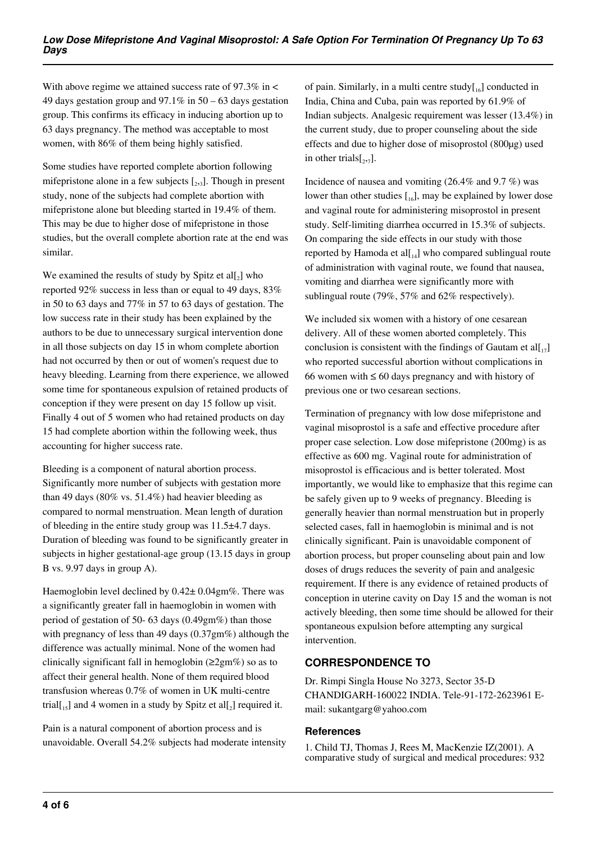With above regime we attained success rate of  $97.3\%$  in  $\lt$ 49 days gestation group and 97.1% in 50 – 63 days gestation group. This confirms its efficacy in inducing abortion up to 63 days pregnancy. The method was acceptable to most women, with 86% of them being highly satisfied.

Some studies have reported complete abortion following mifepristone alone in a few subjects  $[2,3]$ . Though in present study, none of the subjects had complete abortion with mifepristone alone but bleeding started in 19.4% of them. This may be due to higher dose of mifepristone in those studies, but the overall complete abortion rate at the end was similar.

We examined the results of study by Spitz et  $all_2$ ] who reported 92% success in less than or equal to 49 days, 83% in 50 to 63 days and 77% in 57 to 63 days of gestation. The low success rate in their study has been explained by the authors to be due to unnecessary surgical intervention done in all those subjects on day 15 in whom complete abortion had not occurred by then or out of women's request due to heavy bleeding. Learning from there experience, we allowed some time for spontaneous expulsion of retained products of conception if they were present on day 15 follow up visit. Finally 4 out of 5 women who had retained products on day 15 had complete abortion within the following week, thus accounting for higher success rate.

Bleeding is a component of natural abortion process. Significantly more number of subjects with gestation more than 49 days (80% vs. 51.4%) had heavier bleeding as compared to normal menstruation. Mean length of duration of bleeding in the entire study group was 11.5±4.7 days. Duration of bleeding was found to be significantly greater in subjects in higher gestational-age group (13.15 days in group B vs. 9.97 days in group A).

Haemoglobin level declined by  $0.42 \pm 0.04$ gm%. There was a significantly greater fall in haemoglobin in women with period of gestation of 50- 63 days (0.49gm%) than those with pregnancy of less than 49 days (0.37gm%) although the difference was actually minimal. None of the women had clinically significant fall in hemoglobin ( $\geq 2$ gm%) so as to affect their general health. None of them required blood transfusion whereas 0.7% of women in UK multi-centre trial[ $_{15}$ ] and 4 women in a study by Spitz et al[ $_2$ ] required it.

Pain is a natural component of abortion process and is unavoidable. Overall 54.2% subjects had moderate intensity of pain. Similarly, in a multi centre study $\left[\begin{smallmatrix}1 & 0 \\ 0 & 1\end{smallmatrix}\right]$  conducted in India, China and Cuba, pain was reported by 61.9% of Indian subjects. Analgesic requirement was lesser (13.4%) in the current study, due to proper counseling about the side effects and due to higher dose of misoprostol (800µg) used in other trials $\left[2, 7\right]$ .

Incidence of nausea and vomiting (26.4% and 9.7 %) was lower than other studies  $\begin{bmatrix} 1 & 0 \\ 0 & 1 \end{bmatrix}$ , may be explained by lower dose and vaginal route for administering misoprostol in present study. Self-limiting diarrhea occurred in 15.3% of subjects. On comparing the side effects in our study with those reported by Hamoda et al $[I_{14}]$  who compared sublingual route of administration with vaginal route, we found that nausea, vomiting and diarrhea were significantly more with sublingual route (79%, 57% and 62% respectively).

We included six women with a history of one cesarean delivery. All of these women aborted completely. This conclusion is consistent with the findings of Gautam et all  $\vert_1$ who reported successful abortion without complications in 66 women with  $\leq 60$  days pregnancy and with history of previous one or two cesarean sections.

Termination of pregnancy with low dose mifepristone and vaginal misoprostol is a safe and effective procedure after proper case selection. Low dose mifepristone (200mg) is as effective as 600 mg. Vaginal route for administration of misoprostol is efficacious and is better tolerated. Most importantly, we would like to emphasize that this regime can be safely given up to 9 weeks of pregnancy. Bleeding is generally heavier than normal menstruation but in properly selected cases, fall in haemoglobin is minimal and is not clinically significant. Pain is unavoidable component of abortion process, but proper counseling about pain and low doses of drugs reduces the severity of pain and analgesic requirement. If there is any evidence of retained products of conception in uterine cavity on Day 15 and the woman is not actively bleeding, then some time should be allowed for their spontaneous expulsion before attempting any surgical intervention.

## **CORRESPONDENCE TO**

Dr. Rimpi Singla House No 3273, Sector 35-D CHANDIGARH-160022 INDIA. Tele-91-172-2623961 Email: sukantgarg@yahoo.com

## **References**

1. Child TJ, Thomas J, Rees M, MacKenzie IZ(2001). A comparative study of surgical and medical procedures: 932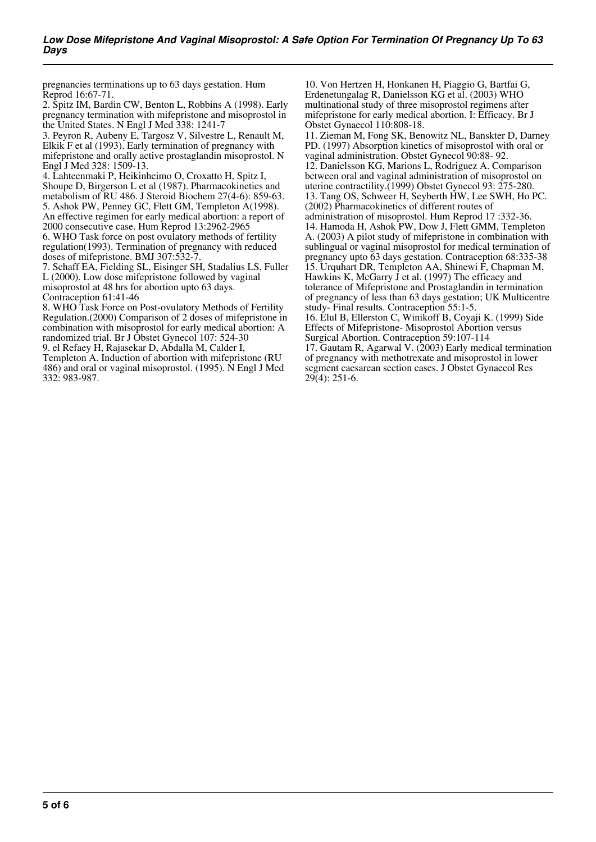pregnancies terminations up to 63 days gestation. Hum Reprod 16:67-71.

2. Spitz IM, Bardin CW, Benton L, Robbins A (1998). Early pregnancy termination with mifepristone and misoprostol in the United States. N Engl J Med 338: 1241-7

3. Peyron R, Aubeny E, Targosz V, Silvestre L, Renault M, Elkik F et al (1993). Early termination of pregnancy with mifepristone and orally active prostaglandin misoprostol. N Engl J Med 328: 1509-13.

4. Lahteenmaki P, Heikinheimo O, Croxatto H, Spitz I, Shoupe D, Birgerson L et al (1987). Pharmacokinetics and metabolism of RU 486. J Steroid Biochem 27(4-6): 859-63. 5. Ashok PW, Penney GC, Flett GM, Templeton A(1998). An effective regimen for early medical abortion: a report of 2000 consecutive case. Hum Reprod 13:2962-2965

6. WHO Task force on post ovulatory methods of fertility regulation(1993). Termination of pregnancy with reduced doses of mifepristone. BMJ 307:532-7.

7. Schaff EA, Fielding SL, Eisinger SH, Stadalius LS, Fuller L (2000). Low dose mifepristone followed by vaginal misoprostol at 48 hrs for abortion upto 63 days. Contraception 61:41-46

8. WHO Task Force on Post-ovulatory Methods of Fertility Regulation.(2000) Comparison of 2 doses of mifepristone in combination with misoprostol for early medical abortion: A randomized trial. Br J Obstet Gynecol 107: 524-30

9. el Refaey H, Rajasekar D, Abdalla M, Calder I,

Templeton A. Induction of abortion with mifepristone (RU 486) and oral or vaginal misoprostol. (1995). N Engl J Med 332: 983-987.

10. Von Hertzen H, Honkanen H, Piaggio G, Bartfai G, Erdenetungalag R, Danielsson KG et al. (2003) WHO multinational study of three misoprostol regimens after mifepristone for early medical abortion. I: Efficacy. Br J Obstet Gynaecol 110:808-18.

11. Zieman M, Fong SK, Benowitz NL, Banskter D, Darney PD. (1997) Absorption kinetics of misoprostol with oral or vaginal administration. Obstet Gynecol 90:88- 92. 12. Danielsson KG, Marions L, Rodriguez A. Comparison between oral and vaginal administration of misoprostol on uterine contractility.(1999) Obstet Gynecol 93: 275-280. 13. Tang OS, Schweer H, Seyberth HW, Lee SWH, Ho PC. (2002) Pharmacokinetics of different routes of administration of misoprostol. Hum Reprod 17 :332-36. 14. Hamoda H, Ashok PW, Dow J, Flett GMM, Templeton A. (2003) A pilot study of mifepristone in combination with sublingual or vaginal misoprostol for medical termination of pregnancy upto 63 days gestation. Contraception 68:335-38 15. Urquhart DR, Templeton AA, Shinewi F, Chapman M, Hawkins K, McGarry J et al. (1997) The efficacy and tolerance of Mifepristone and Prostaglandin in termination of pregnancy of less than 63 days gestation; UK Multicentre study- Final results. Contraception 55:1-5. 16. Elul B, Ellerston C, Winikoff B, Coyaji K. (1999) Side Effects of Mifepristone- Misoprostol Abortion versus Surgical Abortion. Contraception 59:107-114

17. Gautam R, Agarwal V. (2003) Early medical termination of pregnancy with methotrexate and misoprostol in lower segment caesarean section cases. J Obstet Gynaecol Res  $29(4)$ : 251-6.